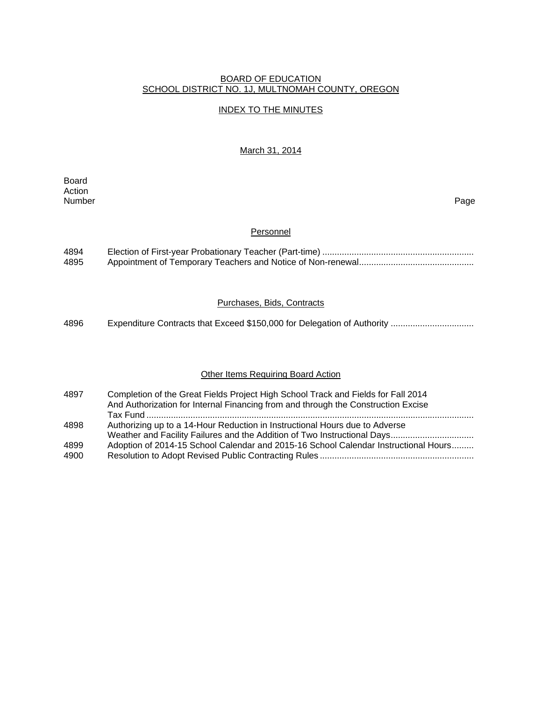# BOARD OF EDUCATION SCHOOL DISTRICT NO. 1J, MULTNOMAH COUNTY, OREGON

# INDEX TO THE MINUTES

## March 31, 2014

Board Action Number Page

#### **Personnel**

| 4894 |  |
|------|--|
| 4895 |  |

# Purchases, Bids, Contracts

4896 Expenditure Contracts that Exceed \$150,000 for Delegation of Authority .................................

## **Other Items Requiring Board Action**

| 4897 | Completion of the Great Fields Project High School Track and Fields for Fall 2014<br>And Authorization for Internal Financing from and through the Construction Excise |
|------|------------------------------------------------------------------------------------------------------------------------------------------------------------------------|
|      |                                                                                                                                                                        |
| 4898 | Authorizing up to a 14-Hour Reduction in Instructional Hours due to Adverse                                                                                            |
|      |                                                                                                                                                                        |
| 4899 | Adoption of 2014-15 School Calendar and 2015-16 School Calendar Instructional Hours                                                                                    |
| 4900 |                                                                                                                                                                        |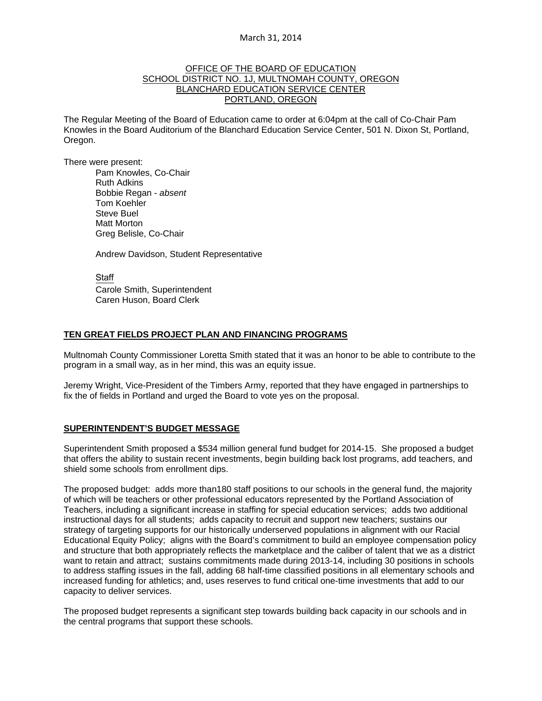## OFFICE OF THE BOARD OF EDUCATION SCHOOL DISTRICT NO. 1J, MULTNOMAH COUNTY, OREGON BLANCHARD EDUCATION SERVICE CENTER PORTLAND, OREGON

The Regular Meeting of the Board of Education came to order at 6:04pm at the call of Co-Chair Pam Knowles in the Board Auditorium of the Blanchard Education Service Center, 501 N. Dixon St, Portland, Oregon.

There were present: Pam Knowles, Co-Chair

Ruth Adkins Bobbie Regan - *absent*  Tom Koehler Steve Buel Matt Morton Greg Belisle, Co-Chair

Andrew Davidson, Student Representative

**Staff**  Carole Smith, Superintendent Caren Huson, Board Clerk

## **TEN GREAT FIELDS PROJECT PLAN AND FINANCING PROGRAMS**

Multnomah County Commissioner Loretta Smith stated that it was an honor to be able to contribute to the program in a small way, as in her mind, this was an equity issue.

Jeremy Wright, Vice-President of the Timbers Army, reported that they have engaged in partnerships to fix the of fields in Portland and urged the Board to vote yes on the proposal.

## **SUPERINTENDENT'S BUDGET MESSAGE**

Superintendent Smith proposed a \$534 million general fund budget for 2014-15. She proposed a budget that offers the ability to sustain recent investments, begin building back lost programs, add teachers, and shield some schools from enrollment dips.

The proposed budget: adds more than180 staff positions to our schools in the general fund, the majority of which will be teachers or other professional educators represented by the Portland Association of Teachers, including a significant increase in staffing for special education services; adds two additional instructional days for all students; adds capacity to recruit and support new teachers; sustains our strategy of targeting supports for our historically underserved populations in alignment with our Racial Educational Equity Policy; aligns with the Board's commitment to build an employee compensation policy and structure that both appropriately reflects the marketplace and the caliber of talent that we as a district want to retain and attract; sustains commitments made during 2013-14, including 30 positions in schools to address staffing issues in the fall, adding 68 half-time classified positions in all elementary schools and increased funding for athletics; and, uses reserves to fund critical one-time investments that add to our capacity to deliver services.

The proposed budget represents a significant step towards building back capacity in our schools and in the central programs that support these schools.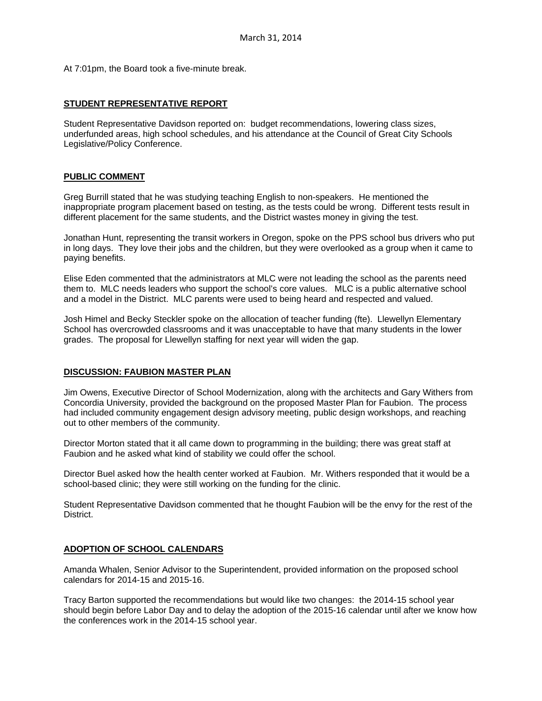At 7:01pm, the Board took a five-minute break.

## **STUDENT REPRESENTATIVE REPORT**

Student Representative Davidson reported on: budget recommendations, lowering class sizes, underfunded areas, high school schedules, and his attendance at the Council of Great City Schools Legislative/Policy Conference.

## **PUBLIC COMMENT**

Greg Burrill stated that he was studying teaching English to non-speakers. He mentioned the inappropriate program placement based on testing, as the tests could be wrong. Different tests result in different placement for the same students, and the District wastes money in giving the test.

Jonathan Hunt, representing the transit workers in Oregon, spoke on the PPS school bus drivers who put in long days. They love their jobs and the children, but they were overlooked as a group when it came to paying benefits.

Elise Eden commented that the administrators at MLC were not leading the school as the parents need them to. MLC needs leaders who support the school's core values. MLC is a public alternative school and a model in the District. MLC parents were used to being heard and respected and valued.

Josh Himel and Becky Steckler spoke on the allocation of teacher funding (fte). Llewellyn Elementary School has overcrowded classrooms and it was unacceptable to have that many students in the lower grades. The proposal for Llewellyn staffing for next year will widen the gap.

# **DISCUSSION: FAUBION MASTER PLAN**

Jim Owens, Executive Director of School Modernization, along with the architects and Gary Withers from Concordia University, provided the background on the proposed Master Plan for Faubion. The process had included community engagement design advisory meeting, public design workshops, and reaching out to other members of the community.

Director Morton stated that it all came down to programming in the building; there was great staff at Faubion and he asked what kind of stability we could offer the school.

Director Buel asked how the health center worked at Faubion. Mr. Withers responded that it would be a school-based clinic; they were still working on the funding for the clinic.

Student Representative Davidson commented that he thought Faubion will be the envy for the rest of the District.

#### **ADOPTION OF SCHOOL CALENDARS**

Amanda Whalen, Senior Advisor to the Superintendent, provided information on the proposed school calendars for 2014-15 and 2015-16.

Tracy Barton supported the recommendations but would like two changes: the 2014-15 school year should begin before Labor Day and to delay the adoption of the 2015-16 calendar until after we know how the conferences work in the 2014-15 school year.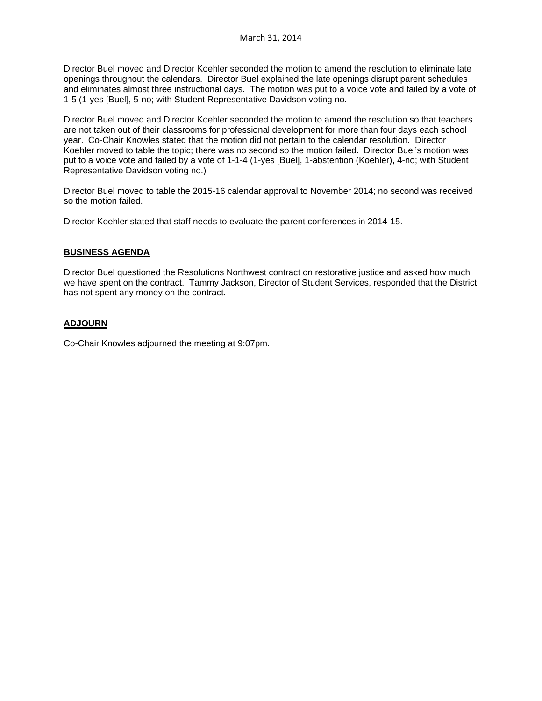Director Buel moved and Director Koehler seconded the motion to amend the resolution to eliminate late openings throughout the calendars. Director Buel explained the late openings disrupt parent schedules and eliminates almost three instructional days. The motion was put to a voice vote and failed by a vote of 1-5 (1-yes [Buel], 5-no; with Student Representative Davidson voting no.

Director Buel moved and Director Koehler seconded the motion to amend the resolution so that teachers are not taken out of their classrooms for professional development for more than four days each school year. Co-Chair Knowles stated that the motion did not pertain to the calendar resolution. Director Koehler moved to table the topic; there was no second so the motion failed. Director Buel's motion was put to a voice vote and failed by a vote of 1-1-4 (1-yes [Buel], 1-abstention (Koehler), 4-no; with Student Representative Davidson voting no.)

Director Buel moved to table the 2015-16 calendar approval to November 2014; no second was received so the motion failed.

Director Koehler stated that staff needs to evaluate the parent conferences in 2014-15.

## **BUSINESS AGENDA**

Director Buel questioned the Resolutions Northwest contract on restorative justice and asked how much we have spent on the contract. Tammy Jackson, Director of Student Services, responded that the District has not spent any money on the contract.

# **ADJOURN**

Co-Chair Knowles adjourned the meeting at 9:07pm.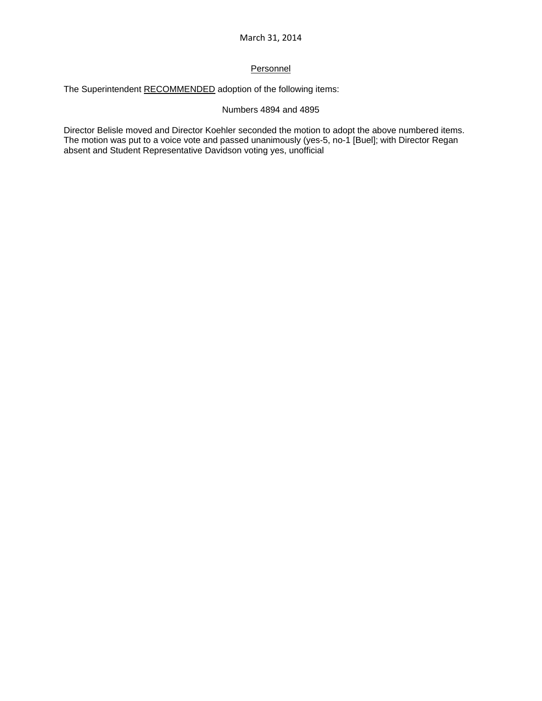# **Personnel**

The Superintendent RECOMMENDED adoption of the following items:

# Numbers 4894 and 4895

Director Belisle moved and Director Koehler seconded the motion to adopt the above numbered items. The motion was put to a voice vote and passed unanimously (yes-5, no-1 [Buel]; with Director Regan absent and Student Representative Davidson voting yes, unofficial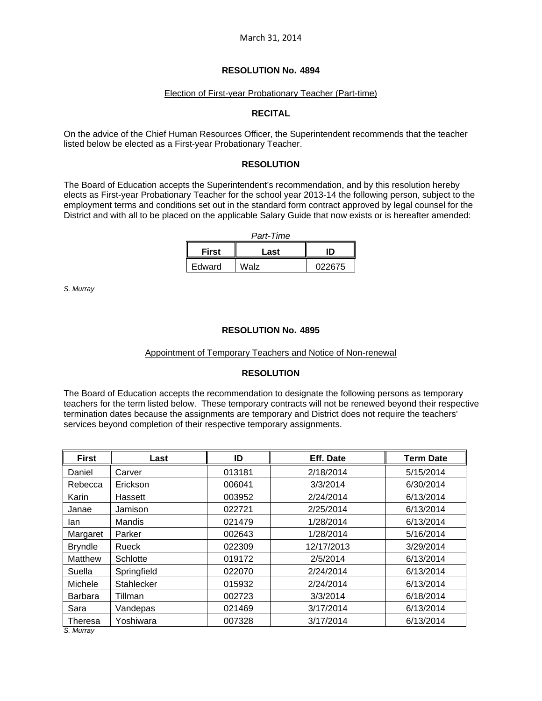#### Election of First-year Probationary Teacher (Part-time)

## **RECITAL**

On the advice of the Chief Human Resources Officer, the Superintendent recommends that the teacher listed below be elected as a First-year Probationary Teacher.

## **RESOLUTION**

The Board of Education accepts the Superintendent's recommendation, and by this resolution hereby elects as First-year Probationary Teacher for the school year 2013-14 the following person, subject to the employment terms and conditions set out in the standard form contract approved by legal counsel for the District and with all to be placed on the applicable Salary Guide that now exists or is hereafter amended:

| Part-Time    |      |        |  |  |  |
|--------------|------|--------|--|--|--|
| <b>First</b> | Last | ID     |  |  |  |
| Edward       | Walz | 022675 |  |  |  |

*S. Murray*

## **RESOLUTION No. 4895**

#### Appointment of Temporary Teachers and Notice of Non-renewal

# **RESOLUTION**

The Board of Education accepts the recommendation to designate the following persons as temporary teachers for the term listed below. These temporary contracts will not be renewed beyond their respective termination dates because the assignments are temporary and District does not require the teachers' services beyond completion of their respective temporary assignments.

| <b>First</b>   | Last        | ID     | Eff. Date  | <b>Term Date</b> |
|----------------|-------------|--------|------------|------------------|
| Daniel         | Carver      | 013181 | 2/18/2014  | 5/15/2014        |
| Rebecca        | Erickson    | 006041 | 3/3/2014   | 6/30/2014        |
| Karin          | Hassett     | 003952 | 2/24/2014  | 6/13/2014        |
| Janae          | Jamison     | 022721 | 2/25/2014  | 6/13/2014        |
| lan            | Mandis      | 021479 | 1/28/2014  | 6/13/2014        |
| Margaret       | Parker      | 002643 | 1/28/2014  | 5/16/2014        |
| <b>Bryndle</b> | Rueck       | 022309 | 12/17/2013 | 3/29/2014        |
| Matthew        | Schlotte    | 019172 | 2/5/2014   | 6/13/2014        |
| Suella         | Springfield | 022070 | 2/24/2014  | 6/13/2014        |
| Michele        | Stahlecker  | 015932 | 2/24/2014  | 6/13/2014        |
| Barbara        | Tillman     | 002723 | 3/3/2014   | 6/18/2014        |
| Sara           | Vandepas    | 021469 | 3/17/2014  | 6/13/2014        |
| Theresa        | Yoshiwara   | 007328 | 3/17/2014  | 6/13/2014        |

*S. Murray*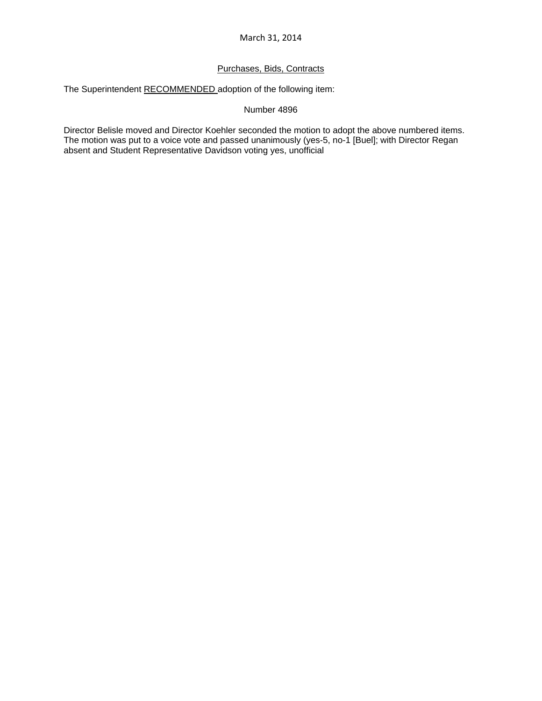# Purchases, Bids, Contracts

The Superintendent RECOMMENDED adoption of the following item:

Number 4896

Director Belisle moved and Director Koehler seconded the motion to adopt the above numbered items. The motion was put to a voice vote and passed unanimously (yes-5, no-1 [Buel]; with Director Regan absent and Student Representative Davidson voting yes, unofficial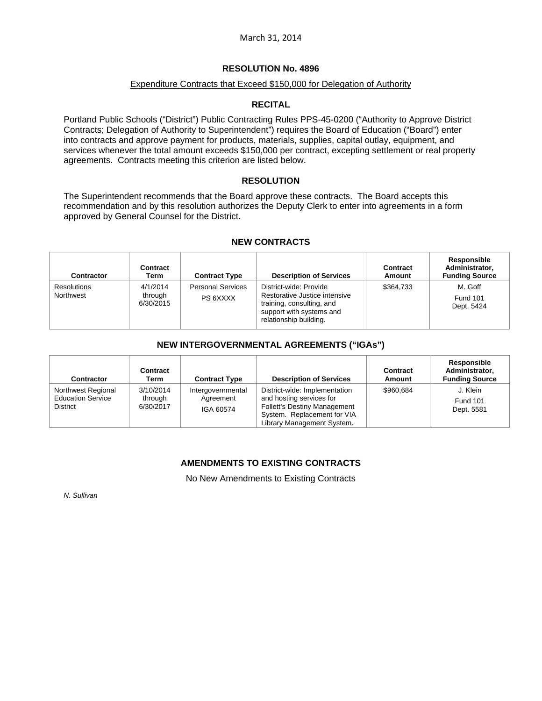## Expenditure Contracts that Exceed \$150,000 for Delegation of Authority

## **RECITAL**

Portland Public Schools ("District") Public Contracting Rules PPS-45-0200 ("Authority to Approve District Contracts; Delegation of Authority to Superintendent") requires the Board of Education ("Board") enter into contracts and approve payment for products, materials, supplies, capital outlay, equipment, and services whenever the total amount exceeds \$150,000 per contract, excepting settlement or real property agreements. Contracts meeting this criterion are listed below.

## **RESOLUTION**

The Superintendent recommends that the Board approve these contracts. The Board accepts this recommendation and by this resolution authorizes the Deputy Clerk to enter into agreements in a form approved by General Counsel for the District.

## **NEW CONTRACTS**

| Contractor                      | Contract<br>Term                 | <b>Contract Type</b>                 | <b>Description of Services</b>                                                                                                             | Contract<br>Amount | Responsible<br>Administrator,<br><b>Funding Source</b> |
|---------------------------------|----------------------------------|--------------------------------------|--------------------------------------------------------------------------------------------------------------------------------------------|--------------------|--------------------------------------------------------|
| <b>Resolutions</b><br>Northwest | 4/1/2014<br>through<br>6/30/2015 | <b>Personal Services</b><br>PS 6XXXX | District-wide: Provide<br>Restorative Justice intensive<br>training, consulting, and<br>support with systems and<br>relationship building. | \$364.733          | M. Goff<br><b>Fund 101</b><br>Dept. 5424               |

## **NEW INTERGOVERNMENTAL AGREEMENTS ("IGAs")**

| <b>Contractor</b>                                                 | Contract<br>Term                  | <b>Contract Type</b>                        | <b>Description of Services</b>                                                                                                                                | Contract<br>Amount | Responsible<br>Administrator,<br><b>Funding Source</b> |
|-------------------------------------------------------------------|-----------------------------------|---------------------------------------------|---------------------------------------------------------------------------------------------------------------------------------------------------------------|--------------------|--------------------------------------------------------|
| Northwest Regional<br><b>Education Service</b><br><b>District</b> | 3/10/2014<br>through<br>6/30/2017 | Intergovernmental<br>Agreement<br>IGA 60574 | District-wide: Implementation<br>and hosting services for<br><b>Follett's Destiny Management</b><br>System. Replacement for VIA<br>Library Management System. | \$960.684          | J. Klein<br><b>Fund 101</b><br>Dept. 5581              |

# **AMENDMENTS TO EXISTING CONTRACTS**

No New Amendments to Existing Contracts

*N. Sullivan*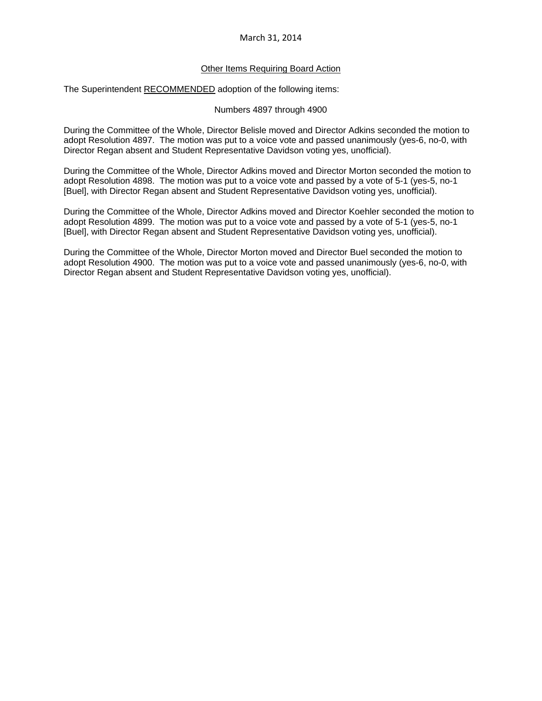## Other Items Requiring Board Action

The Superintendent RECOMMENDED adoption of the following items:

## Numbers 4897 through 4900

During the Committee of the Whole, Director Belisle moved and Director Adkins seconded the motion to adopt Resolution 4897. The motion was put to a voice vote and passed unanimously (yes-6, no-0, with Director Regan absent and Student Representative Davidson voting yes, unofficial).

During the Committee of the Whole, Director Adkins moved and Director Morton seconded the motion to adopt Resolution 4898. The motion was put to a voice vote and passed by a vote of 5-1 (yes-5, no-1 [Buel], with Director Regan absent and Student Representative Davidson voting yes, unofficial).

During the Committee of the Whole, Director Adkins moved and Director Koehler seconded the motion to adopt Resolution 4899. The motion was put to a voice vote and passed by a vote of 5-1 (yes-5, no-1 [Buel], with Director Regan absent and Student Representative Davidson voting yes, unofficial).

During the Committee of the Whole, Director Morton moved and Director Buel seconded the motion to adopt Resolution 4900. The motion was put to a voice vote and passed unanimously (yes-6, no-0, with Director Regan absent and Student Representative Davidson voting yes, unofficial).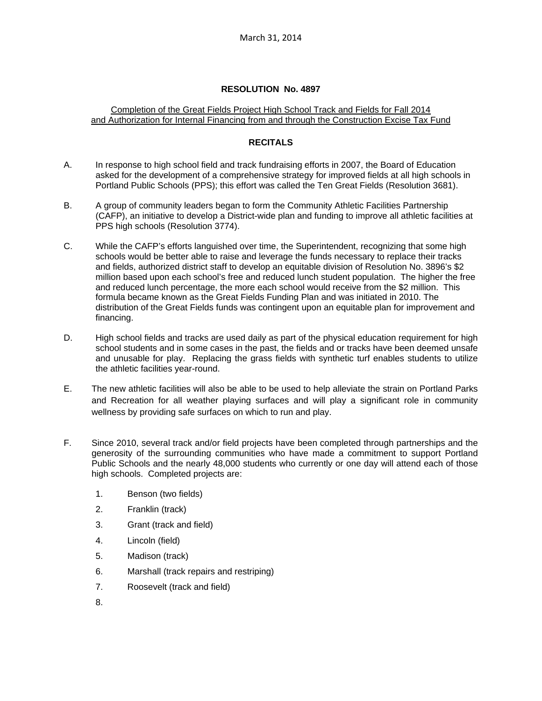# Completion of the Great Fields Project High School Track and Fields for Fall 2014 and Authorization for Internal Financing from and through the Construction Excise Tax Fund

# **RECITALS**

- A. In response to high school field and track fundraising efforts in 2007, the Board of Education asked for the development of a comprehensive strategy for improved fields at all high schools in Portland Public Schools (PPS); this effort was called the Ten Great Fields (Resolution 3681).
- B. A group of community leaders began to form the Community Athletic Facilities Partnership (CAFP), an initiative to develop a District-wide plan and funding to improve all athletic facilities at PPS high schools (Resolution 3774).
- C. While the CAFP's efforts languished over time, the Superintendent, recognizing that some high schools would be better able to raise and leverage the funds necessary to replace their tracks and fields, authorized district staff to develop an equitable division of Resolution No. 3896's \$2 million based upon each school's free and reduced lunch student population. The higher the free and reduced lunch percentage, the more each school would receive from the \$2 million. This formula became known as the Great Fields Funding Plan and was initiated in 2010. The distribution of the Great Fields funds was contingent upon an equitable plan for improvement and financing.
- D. High school fields and tracks are used daily as part of the physical education requirement for high school students and in some cases in the past, the fields and or tracks have been deemed unsafe and unusable for play. Replacing the grass fields with synthetic turf enables students to utilize the athletic facilities year-round.
- E. The new athletic facilities will also be able to be used to help alleviate the strain on Portland Parks and Recreation for all weather playing surfaces and will play a significant role in community wellness by providing safe surfaces on which to run and play.
- F. Since 2010, several track and/or field projects have been completed through partnerships and the generosity of the surrounding communities who have made a commitment to support Portland Public Schools and the nearly 48,000 students who currently or one day will attend each of those high schools. Completed projects are:
	- 1. Benson (two fields)
	- 2. Franklin (track)
	- 3. Grant (track and field)
	- 4. Lincoln (field)
	- 5. Madison (track)
	- 6. Marshall (track repairs and restriping)
	- 7. Roosevelt (track and field)
	- 8.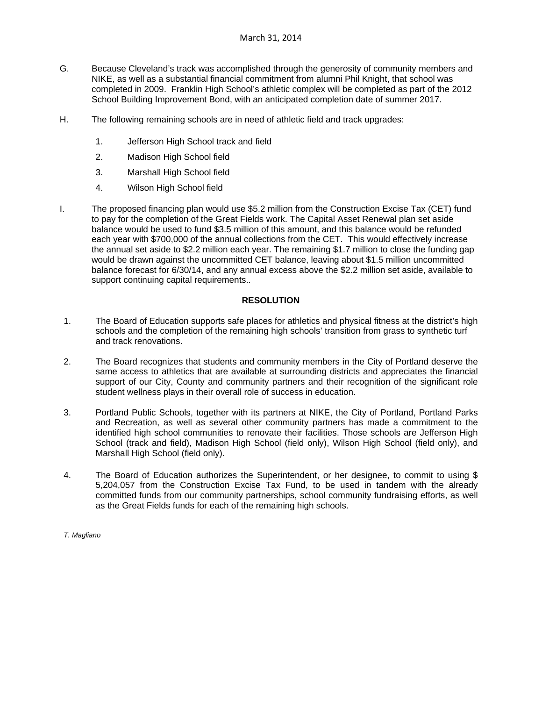- G. Because Cleveland's track was accomplished through the generosity of community members and NIKE, as well as a substantial financial commitment from alumni Phil Knight, that school was completed in 2009. Franklin High School's athletic complex will be completed as part of the 2012 School Building Improvement Bond, with an anticipated completion date of summer 2017.
- H. The following remaining schools are in need of athletic field and track upgrades:
	- 1. Jefferson High School track and field
	- 2. Madison High School field
	- 3. Marshall High School field
	- 4. Wilson High School field
- I. The proposed financing plan would use \$5.2 million from the Construction Excise Tax (CET) fund to pay for the completion of the Great Fields work. The Capital Asset Renewal plan set aside balance would be used to fund \$3.5 million of this amount, and this balance would be refunded each year with \$700,000 of the annual collections from the CET. This would effectively increase the annual set aside to \$2.2 million each year. The remaining \$1.7 million to close the funding gap would be drawn against the uncommitted CET balance, leaving about \$1.5 million uncommitted balance forecast for 6/30/14, and any annual excess above the \$2.2 million set aside, available to support continuing capital requirements..

## **RESOLUTION**

- 1. The Board of Education supports safe places for athletics and physical fitness at the district's high schools and the completion of the remaining high schools' transition from grass to synthetic turf and track renovations.
- 2. The Board recognizes that students and community members in the City of Portland deserve the same access to athletics that are available at surrounding districts and appreciates the financial support of our City, County and community partners and their recognition of the significant role student wellness plays in their overall role of success in education.
- 3. Portland Public Schools, together with its partners at NIKE, the City of Portland, Portland Parks and Recreation, as well as several other community partners has made a commitment to the identified high school communities to renovate their facilities. Those schools are Jefferson High School (track and field), Madison High School (field only), Wilson High School (field only), and Marshall High School (field only).
- 4. The Board of Education authorizes the Superintendent, or her designee, to commit to using \$ 5,204,057 from the Construction Excise Tax Fund, to be used in tandem with the already committed funds from our community partnerships, school community fundraising efforts, as well as the Great Fields funds for each of the remaining high schools.

*T. Magliano*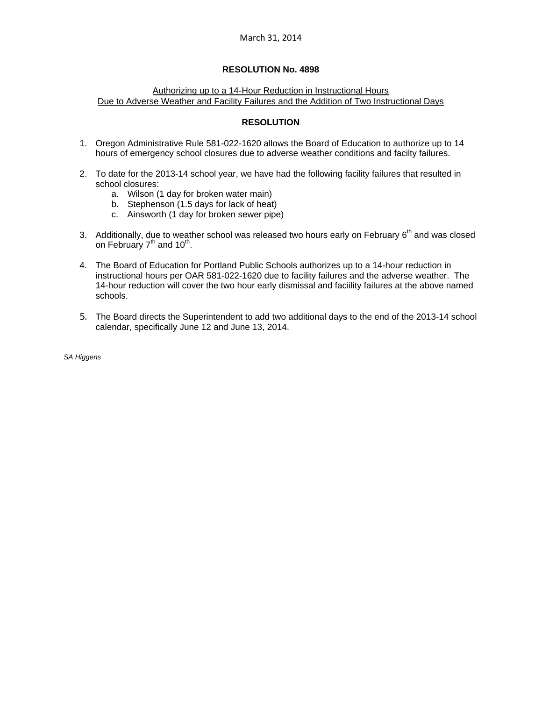## Authorizing up to a 14-Hour Reduction in Instructional Hours Due to Adverse Weather and Facility Failures and the Addition of Two Instructional Days

## **RESOLUTION**

- 1. Oregon Administrative Rule 581-022-1620 allows the Board of Education to authorize up to 14 hours of emergency school closures due to adverse weather conditions and facilty failures.
- 2. To date for the 2013-14 school year, we have had the following facility failures that resulted in school closures:
	- a. Wilson (1 day for broken water main)
	- b. Stephenson (1.5 days for lack of heat)
	- c. Ainsworth (1 day for broken sewer pipe)
- 3. Additionally, due to weather school was released two hours early on February 6<sup>th</sup> and was closed on February  $7<sup>th</sup>$  and  $10<sup>th</sup>$ .
- 4. The Board of Education for Portland Public Schools authorizes up to a 14-hour reduction in instructional hours per OAR 581-022-1620 due to facility failures and the adverse weather. The 14-hour reduction will cover the two hour early dismissal and faciility failures at the above named schools.
- 5. The Board directs the Superintendent to add two additional days to the end of the 2013-14 school calendar, specifically June 12 and June 13, 2014.

*SA Higgens*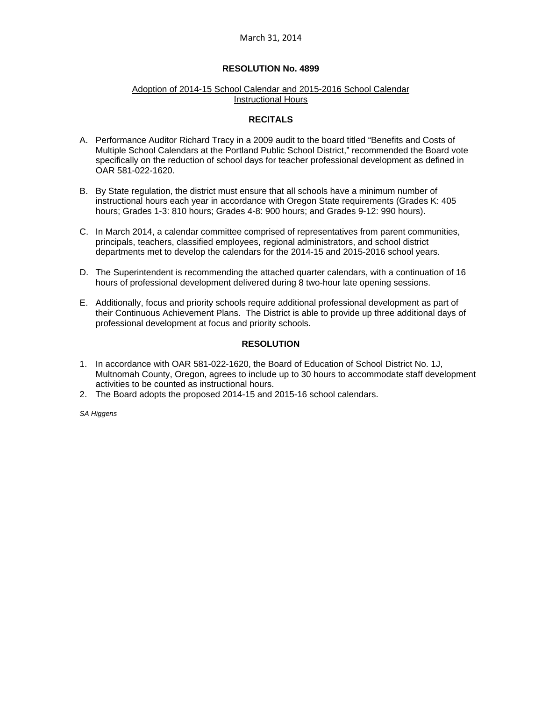# **RESOLUTION No. 4899**

#### Adoption of 2014-15 School Calendar and 2015-2016 School Calendar Instructional Hours

## **RECITALS**

- A. Performance Auditor Richard Tracy in a 2009 audit to the board titled "Benefits and Costs of Multiple School Calendars at the Portland Public School District," recommended the Board vote specifically on the reduction of school days for teacher professional development as defined in OAR 581-022-1620.
- B. By State regulation, the district must ensure that all schools have a minimum number of instructional hours each year in accordance with Oregon State requirements (Grades K: 405 hours; Grades 1-3: 810 hours; Grades 4-8: 900 hours; and Grades 9-12: 990 hours).
- C. In March 2014, a calendar committee comprised of representatives from parent communities, principals, teachers, classified employees, regional administrators, and school district departments met to develop the calendars for the 2014-15 and 2015-2016 school years.
- D. The Superintendent is recommending the attached quarter calendars, with a continuation of 16 hours of professional development delivered during 8 two-hour late opening sessions.
- E. Additionally, focus and priority schools require additional professional development as part of their Continuous Achievement Plans. The District is able to provide up three additional days of professional development at focus and priority schools.

# **RESOLUTION**

- 1. In accordance with OAR 581-022-1620, the Board of Education of School District No. 1J, Multnomah County, Oregon, agrees to include up to 30 hours to accommodate staff development activities to be counted as instructional hours.
- 2. The Board adopts the proposed 2014-15 and 2015-16 school calendars.

*SA Higgens*